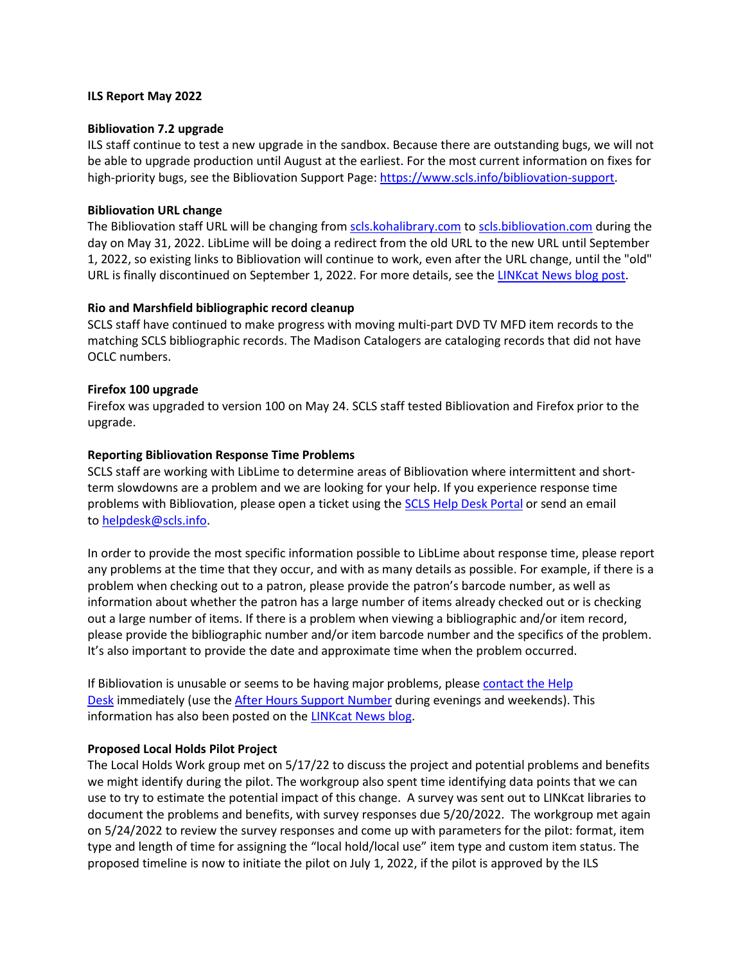#### **ILS Report May 2022**

## **Bibliovation 7.2 upgrade**

ILS staff continue to test a new upgrade in the sandbox. Because there are outstanding bugs, we will not be able to upgrade production until August at the earliest. For the most current information on fixes for high-priority bugs, see the Bibliovation Support Page: https://www.scls.info/bibliovation-support.

## **Bibliovation URL change**

The Bibliovation staff URL will be changing from scls.kohalibrary.com to scls.bibliovation.com during the day on May 31, 2022. LibLime will be doing a redirect from the old URL to the new URL until September 1, 2022, so existing links to Bibliovation will continue to work, even after the URL change, until the "old" URL is finally discontinued on September 1, 2022. For more details, see the LINKcat News blog post.

## **Rio and Marshfield bibliographic record cleanup**

SCLS staff have continued to make progress with moving multi-part DVD TV MFD item records to the matching SCLS bibliographic records. The Madison Catalogers are cataloging records that did not have OCLC numbers.

## **Firefox 100 upgrade**

Firefox was upgraded to version 100 on May 24. SCLS staff tested Bibliovation and Firefox prior to the upgrade.

## **Reporting Bibliovation Response Time Problems**

SCLS staff are working with LibLime to determine areas of Bibliovation where intermittent and shortterm slowdowns are a problem and we are looking for your help. If you experience response time problems with Bibliovation, please open a ticket using the SCLS Help Desk Portal or send an email to helpdesk@scls.info.

In order to provide the most specific information possible to LibLime about response time, please report any problems at the time that they occur, and with as many details as possible. For example, if there is a problem when checking out to a patron, please provide the patron's barcode number, as well as information about whether the patron has a large number of items already checked out or is checking out a large number of items. If there is a problem when viewing a bibliographic and/or item record, please provide the bibliographic number and/or item barcode number and the specifics of the problem. It's also important to provide the date and approximate time when the problem occurred.

If Bibliovation is unusable or seems to be having major problems, please contact the Help Desk immediately (use the After Hours Support Number during evenings and weekends). This information has also been posted on the LINKcat News blog.

# **Proposed Local Holds Pilot Project**

The Local Holds Work group met on 5/17/22 to discuss the project and potential problems and benefits we might identify during the pilot. The workgroup also spent time identifying data points that we can use to try to estimate the potential impact of this change. A survey was sent out to LINKcat libraries to document the problems and benefits, with survey responses due 5/20/2022. The workgroup met again on 5/24/2022 to review the survey responses and come up with parameters for the pilot: format, item type and length of time for assigning the "local hold/local use" item type and custom item status. The proposed timeline is now to initiate the pilot on July 1, 2022, if the pilot is approved by the ILS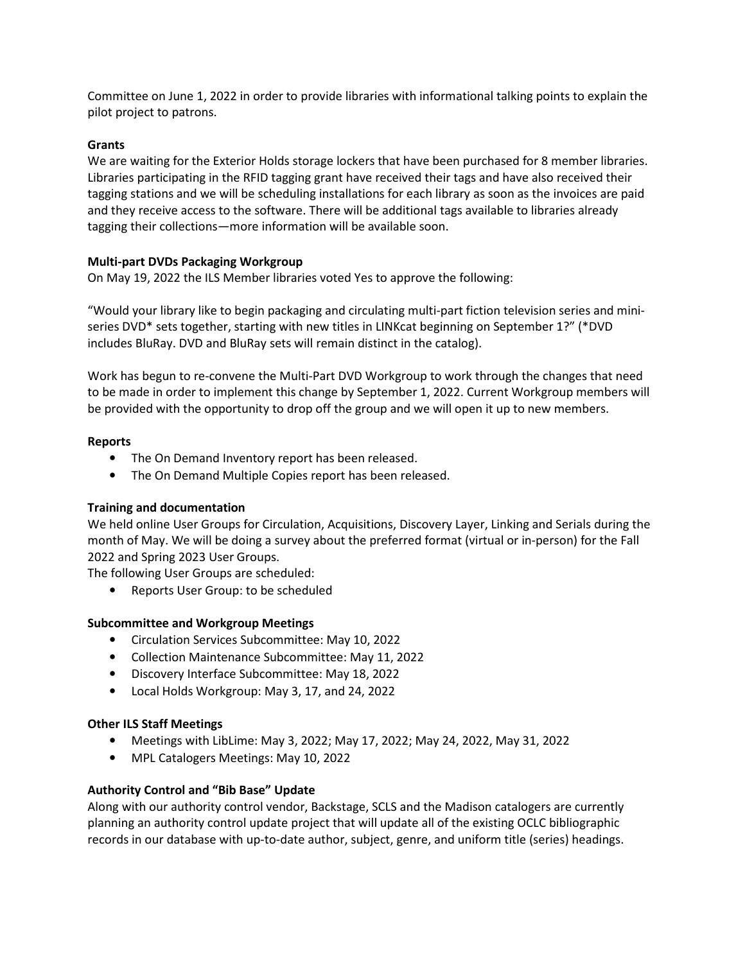Committee on June 1, 2022 in order to provide libraries with informational talking points to explain the pilot project to patrons.

## **Grants**

We are waiting for the Exterior Holds storage lockers that have been purchased for 8 member libraries. Libraries participating in the RFID tagging grant have received their tags and have also received their tagging stations and we will be scheduling installations for each library as soon as the invoices are paid and they receive access to the software. There will be additional tags available to libraries already tagging their collections—more information will be available soon.

## **Multi-part DVDs Packaging Workgroup**

On May 19, 2022 the ILS Member libraries voted Yes to approve the following:

"Would your library like to begin packaging and circulating multi-part fiction television series and miniseries DVD\* sets together, starting with new titles in LINKcat beginning on September 1?" (\*DVD includes BluRay. DVD and BluRay sets will remain distinct in the catalog).

Work has begun to re-convene the Multi-Part DVD Workgroup to work through the changes that need to be made in order to implement this change by September 1, 2022. Current Workgroup members will be provided with the opportunity to drop off the group and we will open it up to new members.

## **Reports**

- The On Demand Inventory report has been released.
- The On Demand Multiple Copies report has been released.

#### **Training and documentation**

We held online User Groups for Circulation, Acquisitions, Discovery Layer, Linking and Serials during the month of May. We will be doing a survey about the preferred format (virtual or in-person) for the Fall 2022 and Spring 2023 User Groups.

The following User Groups are scheduled:

• Reports User Group: to be scheduled

#### **Subcommittee and Workgroup Meetings**

- Circulation Services Subcommittee: May 10, 2022
- Collection Maintenance Subcommittee: May 11, 2022
- Discovery Interface Subcommittee: May 18, 2022
- Local Holds Workgroup: May 3, 17, and 24, 2022

#### **Other ILS Staff Meetings**

- Meetings with LibLime: May 3, 2022; May 17, 2022; May 24, 2022, May 31, 2022
- MPL Catalogers Meetings: May 10, 2022

# **Authority Control and "Bib Base" Update**

Along with our authority control vendor, Backstage, SCLS and the Madison catalogers are currently planning an authority control update project that will update all of the existing OCLC bibliographic records in our database with up-to-date author, subject, genre, and uniform title (series) headings.